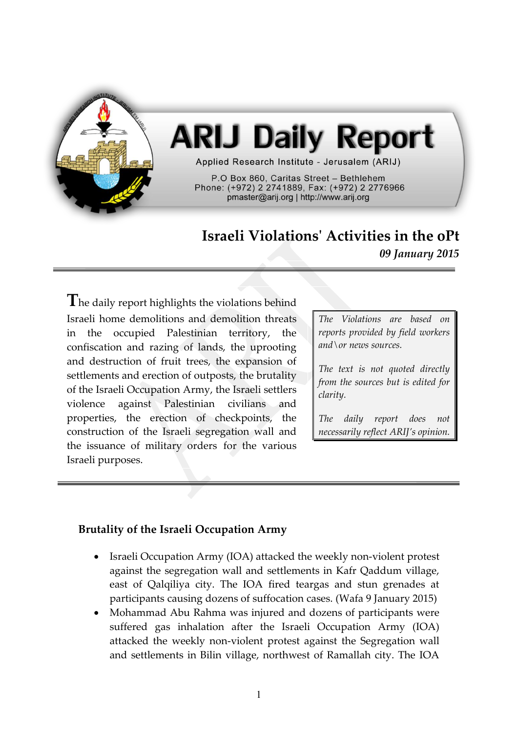

# **ARIJ Daily Report**

Applied Research Institute - Jerusalem (ARIJ)

P.O Box 860. Caritas Street - Bethlehem Phone: (+972) 2 2741889, Fax: (+972) 2 2776966 pmaster@arij.org | http://www.arij.org

## **Israeli Violations' Activities in the oPt** *09 January 2015*

**T**he daily report highlights the violations behind Israeli home demolitions and demolition threats in the occupied Palestinian territory, the confiscation and razing of lands, the uprooting and destruction of fruit trees, the expansion of settlements and erection of outposts, the brutality of the Israeli Occupation Army, the Israeli settlers violence against Palestinian civilians and properties, the erection of checkpoints, the construction of the Israeli segregation wall and the issuance of military orders for the various Israeli purposes.

*The Violations are based on reports provided by field workers and\or news sources.*

*The text is not quoted directly from the sources but is edited for clarity.*

*The daily report does not necessarily reflect ARIJ's opinion.*

#### **Brutality of the Israeli Occupation Army**

- Israeli Occupation Army (IOA) attacked the weekly non-violent protest against the segregation wall and settlements in Kafr Qaddum village, east of Qalqiliya city. The IOA fired teargas and stun grenades at participants causing dozens of suffocation cases. (Wafa 9 January 2015)
- Mohammad Abu Rahma was injured and dozens of participants were suffered gas inhalation after the Israeli Occupation Army (IOA) attacked the weekly non-violent protest against the Segregation wall and settlements in Bilin village, northwest of Ramallah city. The IOA